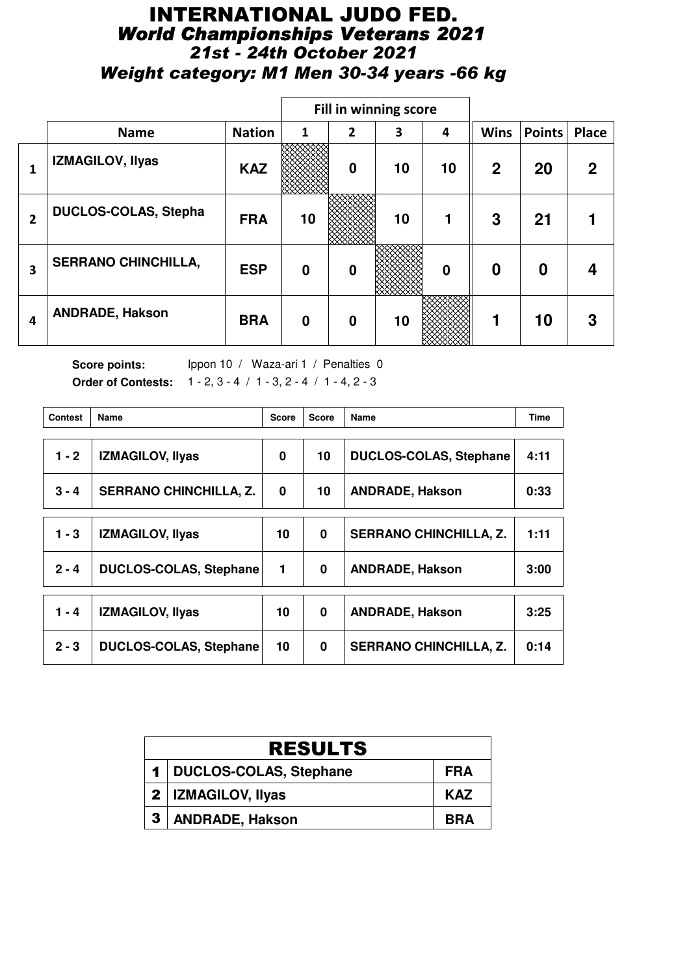# INTERNATIONAL JUDO FED. *World Championships Veterans 2021 21st - 24th October 2021 Weight category: M1 Men 30-34 years -66 kg*

|                |                             |               | Fill in winning score |                |    |                  |              |               |             |
|----------------|-----------------------------|---------------|-----------------------|----------------|----|------------------|--------------|---------------|-------------|
|                | <b>Name</b>                 | <b>Nation</b> | 1                     | $\overline{2}$ | 3  | 4                | <b>Wins</b>  | <b>Points</b> | Place       |
| 1              | IZMAGILOV, Ilyas            | <b>KAZ</b>    |                       | $\mathbf 0$    | 10 | 10               | $\mathbf{2}$ | 20            | $\mathbf 2$ |
| $\overline{2}$ | <b>DUCLOS-COLAS, Stepha</b> | <b>FRA</b>    | 10                    |                | 10 |                  | 3            | 21            |             |
| 3              | <b>SERRANO CHINCHILLA,</b>  | <b>ESP</b>    | 0                     | 0              |    | $\boldsymbol{0}$ | 0            | 0             |             |
| 4              | <b>ANDRADE, Hakson</b>      | <b>BRA</b>    | $\bf{0}$              | $\mathbf 0$    | 10 |                  |              | 10            | 3           |

Score points: Ippon 10 / Waza-ari 1 / Penalties 0 **Order of Contests:** 1 - 2, 3 - 4 / 1 - 3, 2 - 4 / 1 - 4, 2 - 3

| <b>Contest</b> | Name                          | <b>Score</b> | <b>Score</b> | Name                          | <b>Time</b> |
|----------------|-------------------------------|--------------|--------------|-------------------------------|-------------|
|                |                               |              |              |                               | 4:11        |
| $1 - 2$        | <b>IZMAGILOV, Ilyas</b>       | 0            | 10           | <b>DUCLOS-COLAS, Stephane</b> |             |
| $3 - 4$        | <b>SERRANO CHINCHILLA, Z.</b> | $\bf{0}$     | 10           | <b>ANDRADE, Hakson</b>        | 0:33        |
|                |                               |              |              |                               |             |
| 1 - 3          | <b>IZMAGILOV, Ilyas</b>       | 10           | 0            | <b>SERRANO CHINCHILLA, Z.</b> | 1:11        |
| $2 - 4$        | <b>DUCLOS-COLAS, Stephane</b> | 1            | 0            | <b>ANDRADE, Hakson</b>        | 3:00        |
|                |                               |              |              |                               |             |
| $1 - 4$        | <b>IZMAGILOV, Ilyas</b>       | 10           | 0            | <b>ANDRADE, Hakson</b>        | 3:25        |
| $2 - 3$        | <b>DUCLOS-COLAS, Stephane</b> | 10           | 0            | <b>SERRANO CHINCHILLA, Z.</b> | 0:14        |

|              | <b>RESULTS</b>             |            |  |  |  |  |
|--------------|----------------------------|------------|--|--|--|--|
|              | 1   DUCLOS-COLAS, Stephane | <b>FRA</b> |  |  |  |  |
|              | 2   IZMAGILOV, Ilyas       | <b>KAZ</b> |  |  |  |  |
| $\mathbf{3}$ | <b>ANDRADE, Hakson</b>     | <b>BRA</b> |  |  |  |  |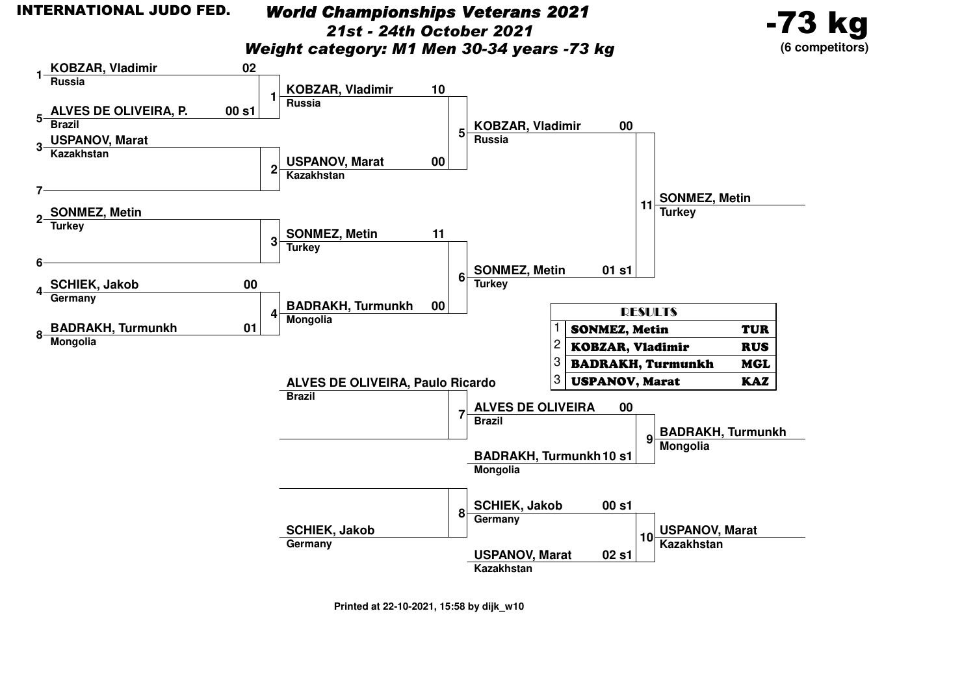**1**

**5**

**7**

**6**

**4**

**8**

# *World Championships Veterans 202121st - 24th October 2021*

-73 kg

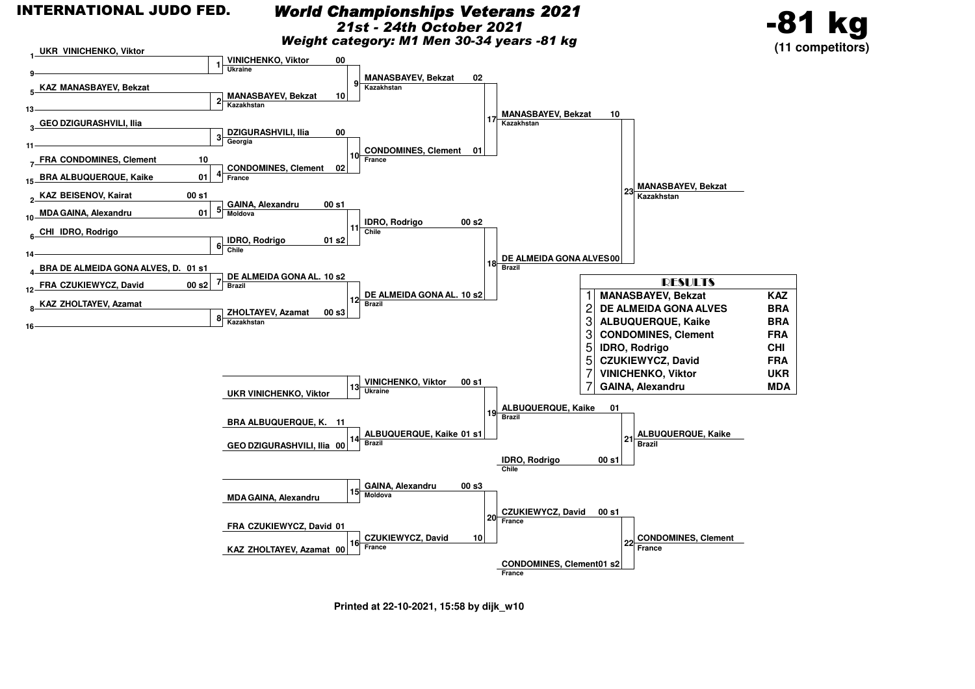**9**

**13**

**11**

**10**

**14**

**412**

**16**

 **KAZ BEISENOV, Kairat 2MDAGAINA, Alexandru**

**CHI IDRO, Rodrigo6**

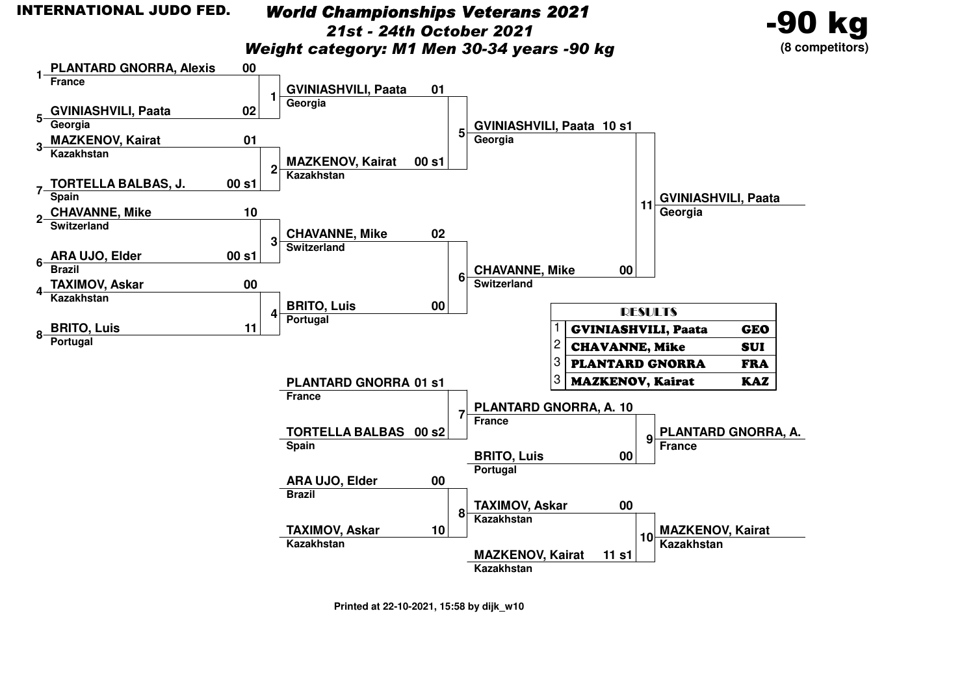## *World Championships Veterans 202121st - 24th October 2021*

*Weight category: M1 Men 30-34 years -90 kg*



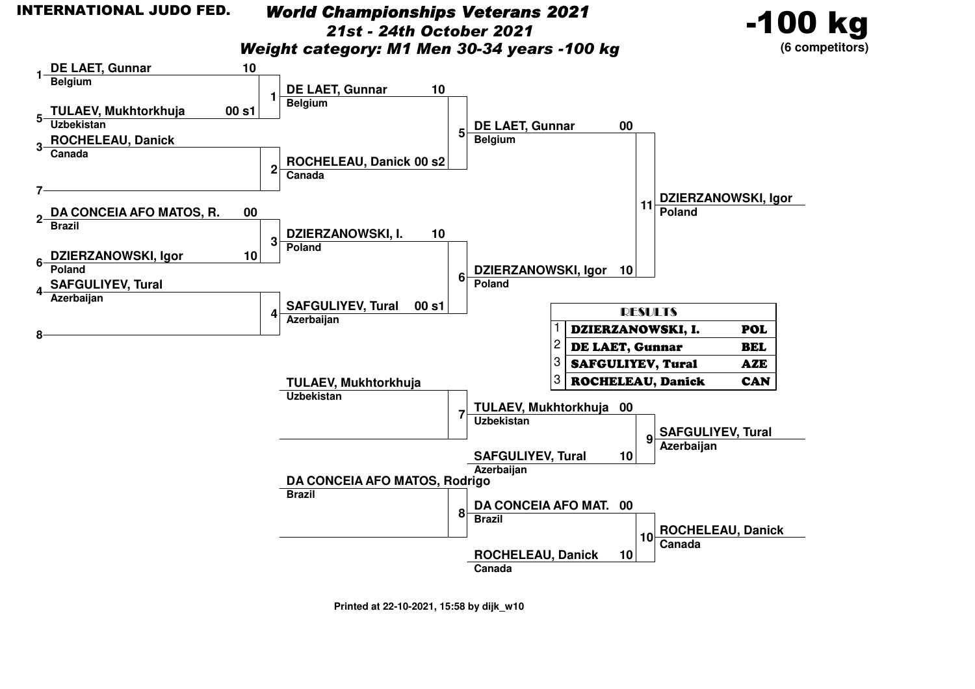# *World Championships Veterans 2021*

*21st - 24th October 2021*

-100 kg

**(6 competitors)**

*Weight category: M1 Men 30-34 years -100 kg*

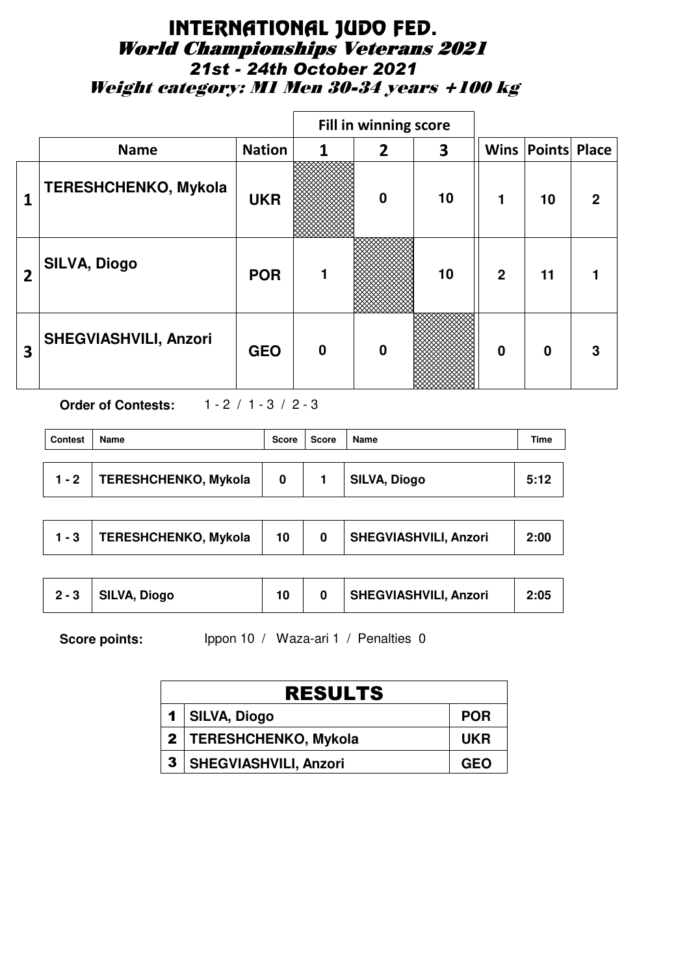# INTERNATIONAL JUDO FED. World Championships Veterans 2021 *21st - 24th October 2021* Weight category: M1 Men 30-34 years +100 kg

|                |                              |               | Fill in winning score |                  |    |                |                          |             |
|----------------|------------------------------|---------------|-----------------------|------------------|----|----------------|--------------------------|-------------|
|                | <b>Name</b>                  | <b>Nation</b> | 1                     | 2                | 3  |                | <b>Wins Points Place</b> |             |
| 1              | <b>TERESHCHENKO, Mykola</b>  | <b>UKR</b>    |                       | $\boldsymbol{0}$ | 10 | 1              | 10                       | $\mathbf 2$ |
| $\overline{2}$ | <b>SILVA, Diogo</b>          | <b>POR</b>    |                       |                  | 10 | $\overline{2}$ | 11                       |             |
| 3              | <b>SHEGVIASHVILI, Anzori</b> | <b>GEO</b>    | $\bf{0}$              | $\bf{0}$         |    | $\bf{0}$       | $\Omega$                 | 3           |

**Order of Contests:** 1 - 2 / 1 - 3 / 2 - 3

| <b>Contest</b> | <b>Name</b>                 | Score | Score | Name                | Time |
|----------------|-----------------------------|-------|-------|---------------------|------|
| $1 - 2$        | <b>TERESHCHENKO, Mykola</b> | 0     |       | <b>SILVA, Diogo</b> | 5:12 |

|  | <b>TERESHCHENKO, Mykola</b> |  |  | <b>SHEGVIASHVILI, Anzori</b> | 2:00 |
|--|-----------------------------|--|--|------------------------------|------|
|--|-----------------------------|--|--|------------------------------|------|

Score points: Ippon 10 / Waza-ari 1 / Penalties 0

| <b>RESULTS</b>               |            |  |  |  |  |
|------------------------------|------------|--|--|--|--|
| 1   SILVA, Diogo             | <b>POR</b> |  |  |  |  |
| 2   TERESHCHENKO, Mykola     | <b>UKR</b> |  |  |  |  |
| <b>SHEGVIASHVILI, Anzori</b> | <b>GEO</b> |  |  |  |  |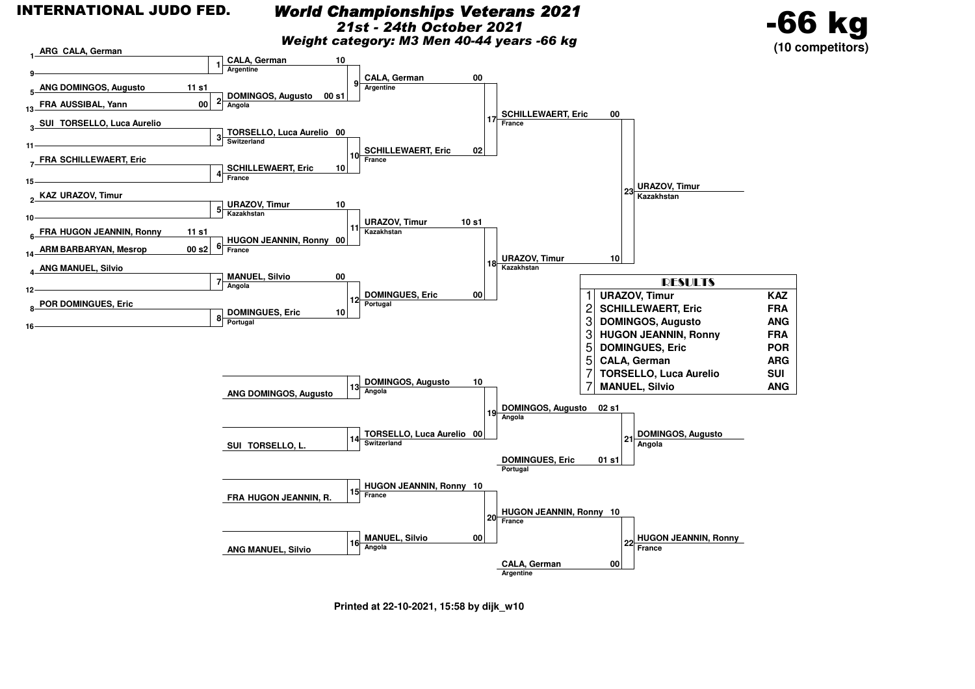### *World Championships Veterans 2021*

*21st - 24th October 2021*



*Weight category: M3 Men 40-44 years -66 kg*



**Printed at 22-10-2021, 15:58 by dijk\_w10**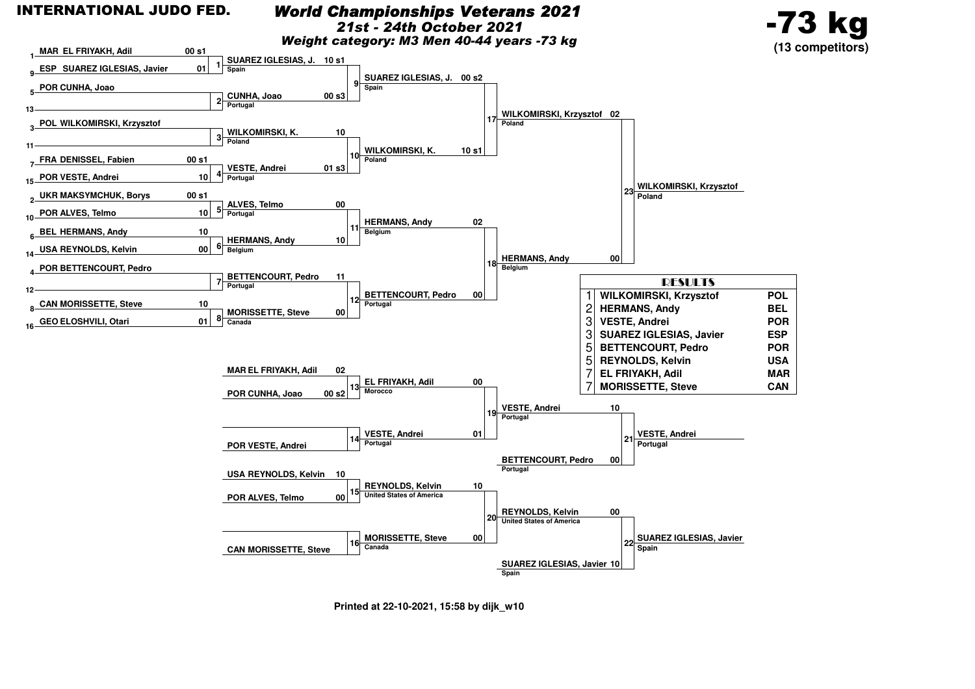![](_page_7_Figure_0.jpeg)

### *World Championships Veterans 2021*

*21st - 24th October 2021*

-73 kg

*Weight category: M3 Men 40-44 years -73 kg*

![](_page_7_Figure_4.jpeg)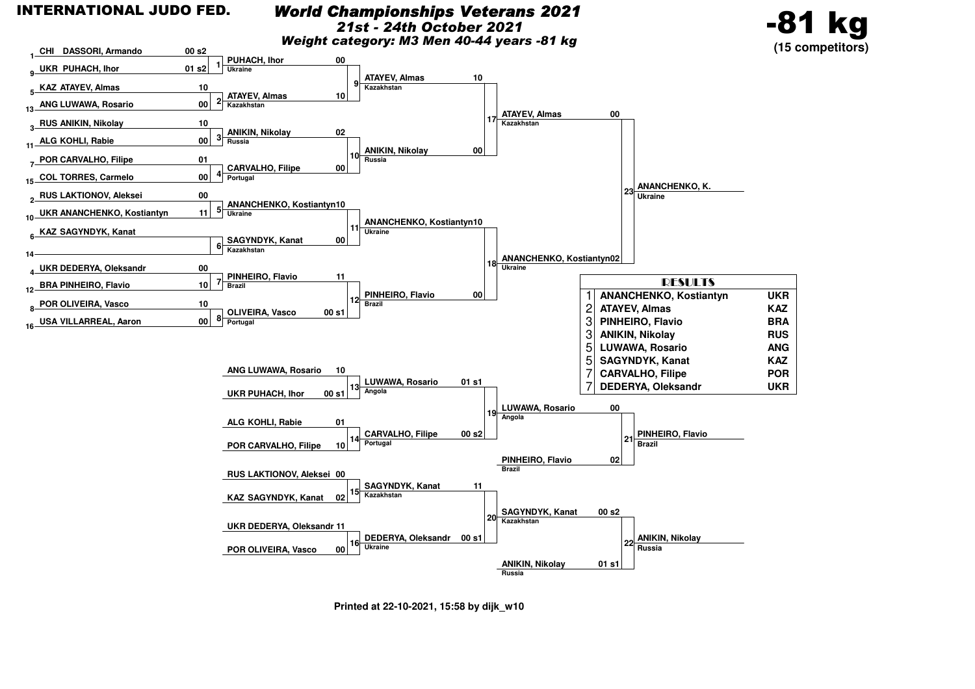### *World Championships Veterans 2021*

*21st - 24th October 2021*

*Weight category: M3 Men 40-44 years -81 kg*

![](_page_8_Figure_4.jpeg)

![](_page_8_Figure_5.jpeg)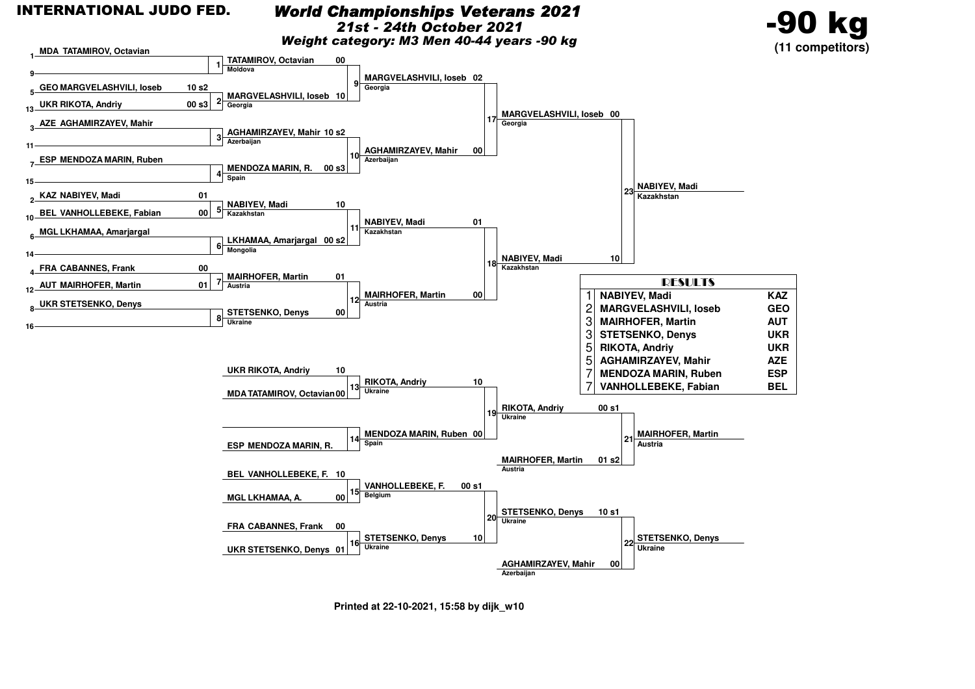# *World Championships Veterans 2021*

*21st - 24th October 2021*

*Weight category: M3 Men 40-44 years -90 kg*

![](_page_9_Figure_4.jpeg)

![](_page_9_Figure_5.jpeg)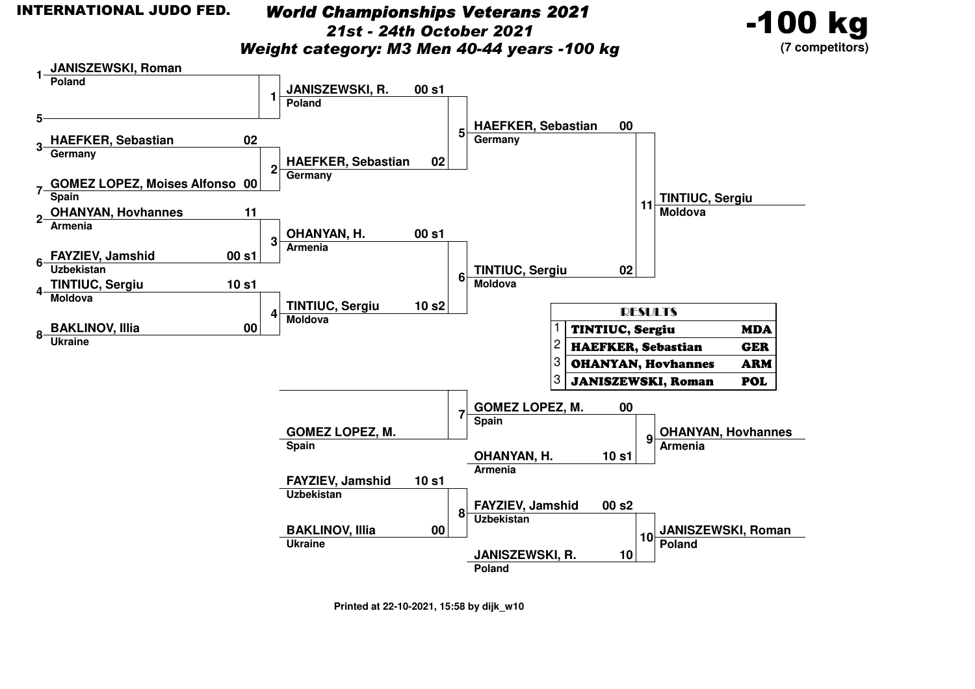*World Championships Veterans 202121st - 24th October 2021*

-100 kg**(7 competitors)**

*Weight category: M3 Men 40-44 years -100 kg*

![](_page_10_Figure_4.jpeg)